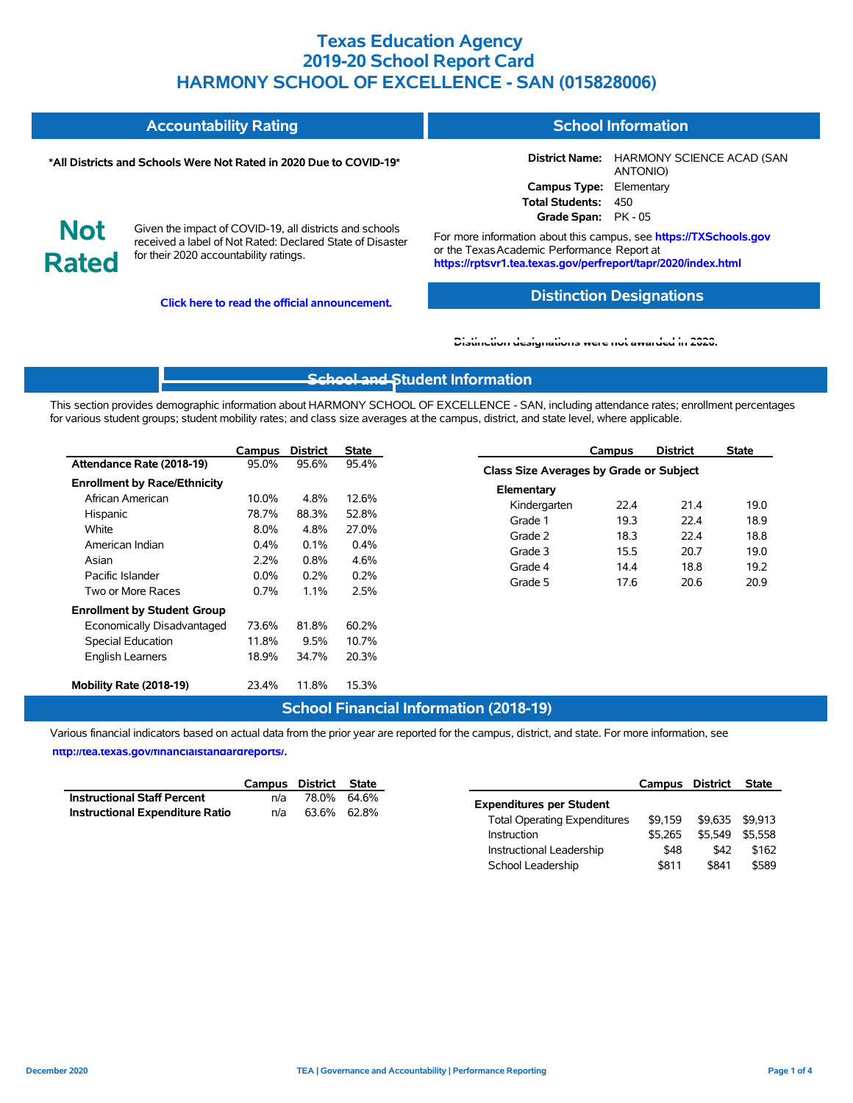|                            | <b>Accountability Rating</b>                                                                                                                                   | <b>School Information</b>                                                                                                                                                         |                                                              |  |  |  |
|----------------------------|----------------------------------------------------------------------------------------------------------------------------------------------------------------|-----------------------------------------------------------------------------------------------------------------------------------------------------------------------------------|--------------------------------------------------------------|--|--|--|
|                            | *All Districts and Schools Were Not Rated in 2020 Due to COVID-19*                                                                                             |                                                                                                                                                                                   | <b>District Name: HARMONY SCIENCE ACAD (SAN)</b><br>ANTONIO) |  |  |  |
|                            |                                                                                                                                                                | Campus Type: Elementary                                                                                                                                                           |                                                              |  |  |  |
|                            |                                                                                                                                                                |                                                                                                                                                                                   |                                                              |  |  |  |
|                            |                                                                                                                                                                | <b>Total Students: 450</b><br>Grade Span: PK - 05                                                                                                                                 |                                                              |  |  |  |
| <b>Not</b><br><b>Rated</b> | Given the impact of COVID-19, all districts and schools<br>received a label of Not Rated: Declared State of Disaster<br>for their 2020 accountability ratings. | For more information about this campus, see https://TXSchools.gov<br>or the Texas Academic Performance Report at<br>https://rptsvr1.tea.texas.gov/perfreport/tapr/2020/index.html |                                                              |  |  |  |

**Click here to read the official announcement.**

#### **Distinction Designations**

#### **[Distinction designations were not awarded in 2020.](https://rptsvr1.tea.texas.gov/perfreport/tapr/2020/index.html)**

### **[School and S](https://tea.texas.gov/about-tea/news-and-multimedia/correspondence/taa-letters/every-student-succeeds-act-essa-waiver-approval-2020-state-academic-accountability)tudent Information**

This section provides demographic information about HARMONY SCHOOL OF EXCELLENCE - SAN, including attendance rates; enrollment percentages for various student groups; student mobility rates; and class size averages at the campus, district, and state level, where applicable.

|                                     | Campus  | <b>District</b> | State |
|-------------------------------------|---------|-----------------|-------|
| Attendance Rate (2018-19)           | 95.0%   | 95.6%           | 95.4% |
| <b>Enrollment by Race/Ethnicity</b> |         |                 |       |
| African American                    | 10.0%   | 4.8%            | 12.6% |
| Hispanic                            | 78.7%   | 88.3%           | 52.8% |
| White                               | 8.0%    | 4.8%            | 27.0% |
| American Indian                     | $0.4\%$ | 0.1%            | 0.4%  |
| Asian                               | 2.2%    | $0.8\%$         | 4.6%  |
| Pacific Islander                    | $0.0\%$ | $0.2\%$         | 0.2%  |
| Two or More Races                   | 0.7%    | 1.1%            | 2.5%  |
| <b>Enrollment by Student Group</b>  |         |                 |       |
| Economically Disadvantaged          | 73.6%   | 81.8%           | 60.2% |
| <b>Special Education</b>            | 11.8%   | 9.5%            | 10.7% |
| <b>English Learners</b>             | 18.9%   | 34.7%           | 20.3% |
| Mobility Rate (2018-19)             | 23.4%   | 11.8%           | 15.3% |

|                                                | Campus | <b>District</b> | <b>State</b> |  |  |  |  |  |  |  |
|------------------------------------------------|--------|-----------------|--------------|--|--|--|--|--|--|--|
| <b>Class Size Averages by Grade or Subject</b> |        |                 |              |  |  |  |  |  |  |  |
| Elementary                                     |        |                 |              |  |  |  |  |  |  |  |
| Kindergarten                                   | 22.4   | 21.4            | 19.0         |  |  |  |  |  |  |  |
| Grade 1                                        | 19.3   | 22 4            | 18.9         |  |  |  |  |  |  |  |
| Grade 2                                        | 18.3   | 22.4            | 18.8         |  |  |  |  |  |  |  |
| Grade 3                                        | 15.5   | 20.7            | 19.0         |  |  |  |  |  |  |  |
| Grade 4                                        | 14.4   | 18.8            | 19.2         |  |  |  |  |  |  |  |
| Grade 5                                        | 17.6   | 20.6            | 20.9         |  |  |  |  |  |  |  |

School Leadership  $$811$  \$841 \$589

#### **School Financial Information (2018-19)**

Various financial indicators based on actual data from the prior year are reported for the campus, district, and state. For more information, see **[http://tea.texas.gov/financialstandardreports/.](http://tea.texas.gov/financialstandardreports/)**

|                                        | Campus      | District    | State       | Campus                                         |         | District        | <b>State</b> |
|----------------------------------------|-------------|-------------|-------------|------------------------------------------------|---------|-----------------|--------------|
| <b>Instructional Staff Percent</b>     | n/a         |             | 78.0% 64.6% | <b>Expenditures per Student</b>                |         |                 |              |
| <b>Instructional Expenditure Ratio</b> | n/a         | 63.6% 62.8% |             | \$9.159<br><b>Total Operating Expenditures</b> |         | \$9.635 \$9.913 |              |
|                                        | Instruction |             | \$5.265     |                                                | \$5.549 | \$5.558         |              |
|                                        |             |             |             | Instructional Leadership                       | \$48    | \$42            |              |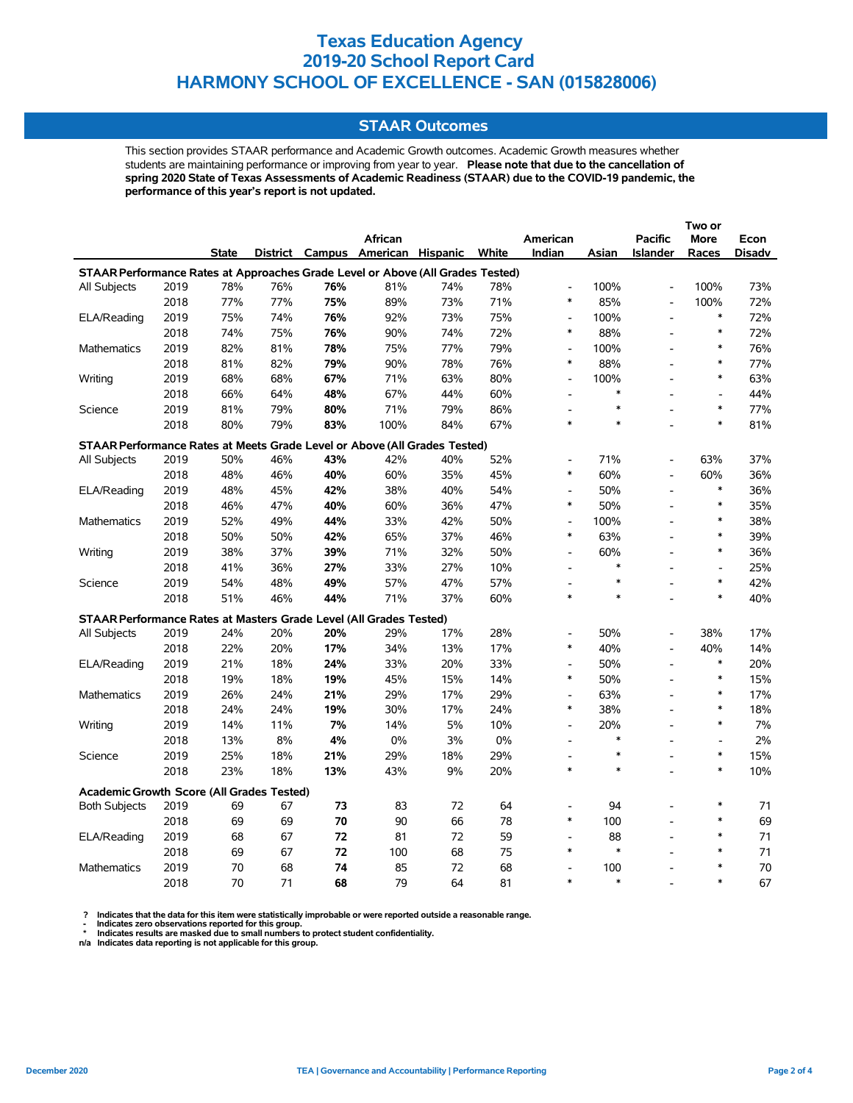#### **STAAR Outcomes**

This section provides STAAR performance and Academic Growth outcomes. Academic Growth measures whether students are maintaining performance or improving from year to year. **Please note that due to the cancellation of spring 2020 State of Texas Assessments of Academic Readiness (STAAR) due to the COVID-19 pandemic, the performance of this year's report is not updated.**

|                                                                                |      |       |     |     | African                           |     |       | American                           |               | <b>Pacific</b>  | More                     | Econ       |
|--------------------------------------------------------------------------------|------|-------|-----|-----|-----------------------------------|-----|-------|------------------------------------|---------------|-----------------|--------------------------|------------|
|                                                                                |      | State |     |     | District Campus American Hispanic |     | White | Indian                             | Asian         | <b>Islander</b> | Races                    | Disadv     |
| STAAR Performance Rates at Approaches Grade Level or Above (All Grades Tested) |      |       |     |     |                                   |     |       |                                    |               |                 |                          |            |
| All Subjects                                                                   | 2019 | 78%   | 76% | 76% | 81%                               | 74% | 78%   | $\overline{a}$                     | 100%          | $\overline{a}$  | 100%                     | 73%        |
|                                                                                | 2018 | 77%   | 77% | 75% | 89%                               | 73% | 71%   | $\ast$                             | 85%           | $\frac{1}{2}$   | 100%                     | 72%        |
| ELA/Reading                                                                    | 2019 | 75%   | 74% | 76% | 92%                               | 73% | 75%   | $\overline{a}$                     | 100%          | $\overline{a}$  | $\ast$                   | 72%        |
|                                                                                | 2018 | 74%   | 75% | 76% | 90%                               | 74% | 72%   | $\ast$                             | 88%           | L,              | $\ast$                   | 72%        |
| Mathematics                                                                    | 2019 | 82%   | 81% | 78% | 75%                               | 77% | 79%   | $\overline{\phantom{a}}$           | 100%          | L,              | $\ast$                   | 76%        |
|                                                                                | 2018 | 81%   | 82% | 79% | 90%                               | 78% | 76%   | $\ast$                             | 88%           | L,              | $\ast$                   | 77%        |
| Writing                                                                        | 2019 | 68%   | 68% | 67% | 71%                               | 63% | 80%   | $\overline{\phantom{a}}$           | 100%          |                 | $\ast$                   | 63%        |
|                                                                                | 2018 | 66%   | 64% | 48% | 67%                               | 44% | 60%   | $\overline{a}$                     | $\ast$        |                 | $\overline{\phantom{a}}$ | 44%        |
| Science                                                                        | 2019 | 81%   | 79% | 80% | 71%                               | 79% | 86%   | $\overline{a}$                     | *             |                 | $\ast$                   | 77%        |
|                                                                                | 2018 | 80%   | 79% | 83% | 100%                              | 84% | 67%   | $\ast$                             | $\ast$        |                 | $\ast$                   | 81%        |
| STAAR Performance Rates at Meets Grade Level or Above (All Grades Tested)      |      |       |     |     |                                   |     |       |                                    |               |                 |                          |            |
| All Subjects                                                                   | 2019 | 50%   | 46% | 43% | 42%                               | 40% | 52%   | $\overline{\phantom{a}}$           | 71%           |                 | 63%                      | 37%        |
|                                                                                | 2018 | 48%   | 46% | 40% | 60%                               | 35% | 45%   | $\ast$                             | 60%           | $\overline{a}$  | 60%                      | 36%        |
| ELA/Reading                                                                    | 2019 | 48%   | 45% | 42% | 38%                               | 40% | 54%   | $\overline{\phantom{a}}$           | 50%           | $\overline{a}$  | $\ast$                   | 36%        |
|                                                                                | 2018 | 46%   | 47% | 40% | 60%                               | 36% | 47%   | $\ast$                             | 50%           | L,              | $\ast$                   | 35%        |
| Mathematics                                                                    | 2019 | 52%   | 49% | 44% | 33%                               | 42% | 50%   | $\overline{\phantom{a}}$           | 100%          |                 | $\ast$                   | 38%        |
|                                                                                | 2018 | 50%   | 50% | 42% | 65%                               | 37% | 46%   | $\ast$                             | 63%           | L,              | $\ast$                   | 39%        |
| Writing                                                                        | 2019 | 38%   | 37% | 39% | 71%                               | 32% | 50%   | $\overline{a}$                     | 60%           | $\overline{a}$  | $\ast$                   | 36%        |
|                                                                                | 2018 | 41%   | 36% | 27% | 33%                               | 27% | 10%   | $\overline{a}$                     | $\ast$        |                 | $\overline{\phantom{a}}$ | 25%        |
| Science                                                                        | 2019 | 54%   | 48% | 49% | 57%                               | 47% | 57%   |                                    | $\ast$        |                 | $\ast$                   | 42%        |
|                                                                                | 2018 | 51%   | 46% | 44% | 71%                               | 37% | 60%   | $\ast$                             | $\ast$        |                 | $\ast$                   | 40%        |
|                                                                                |      |       |     |     |                                   |     |       |                                    |               |                 |                          |            |
| STAAR Performance Rates at Masters Grade Level (All Grades Tested)             |      |       |     |     |                                   |     |       |                                    |               |                 |                          |            |
| <b>All Subjects</b>                                                            | 2019 | 24%   | 20% | 20% | 29%                               | 17% | 28%   | $\overline{\phantom{a}}$<br>$\ast$ | 50%           | $\overline{a}$  | 38%                      | 17%        |
|                                                                                | 2018 | 22%   | 20% | 17% | 34%                               | 13% | 17%   |                                    | 40%           | $\overline{a}$  | 40%<br>$\ast$            | 14%        |
| ELA/Reading                                                                    | 2019 | 21%   | 18% | 24% | 33%                               | 20% | 33%   | $\overline{a}$<br>$\ast$           | 50%           | L,              | $\ast$                   | 20%        |
|                                                                                | 2018 | 19%   | 18% | 19% | 45%                               | 15% | 14%   |                                    | 50%           | $\overline{a}$  | $\ast$                   | 15%        |
| Mathematics                                                                    | 2019 | 26%   | 24% | 21% | 29%                               | 17% | 29%   | $\overline{a}$<br>$\ast$           | 63%           | L,              | $\ast$                   | 17%        |
|                                                                                | 2018 | 24%   | 24% | 19% | 30%                               | 17% | 24%   |                                    | 38%           | $\overline{a}$  | $\ast$                   | 18%        |
| Writing                                                                        | 2019 | 14%   | 11% | 7%  | 14%                               | 5%  | 10%   | $\blacksquare$                     | 20%<br>$\ast$ |                 |                          | 7%<br>2%   |
|                                                                                | 2018 | 13%   | 8%  | 4%  | 0%                                | 3%  | 0%    | $\overline{a}$                     | $\ast$        | $\overline{a}$  | $\overline{a}$<br>$\ast$ |            |
| Science                                                                        | 2019 | 25%   | 18% | 21% | 29%                               | 18% | 29%   | $\overline{\phantom{a}}$<br>$\ast$ | $\ast$        | $\overline{a}$  | $\ast$                   | 15%<br>10% |
|                                                                                | 2018 | 23%   | 18% | 13% | 43%                               | 9%  | 20%   |                                    |               |                 |                          |            |
| <b>Academic Growth Score (All Grades Tested)</b>                               |      |       |     |     |                                   |     |       |                                    |               |                 |                          |            |
| <b>Both Subjects</b>                                                           | 2019 | 69    | 67  | 73  | 83                                | 72  | 64    |                                    | 94            |                 | $\ast$                   | 71         |
|                                                                                | 2018 | 69    | 69  | 70  | 90                                | 66  | 78    | $\ast$                             | 100           |                 | $\ast$                   | 69         |
| ELA/Reading                                                                    | 2019 | 68    | 67  | 72  | 81                                | 72  | 59    | $\overline{\phantom{a}}$           | 88            |                 | $\ast$                   | 71         |
|                                                                                | 2018 | 69    | 67  | 72  | 100                               | 68  | 75    | $\ast$                             | $\ast$        |                 | $\ast$                   | 71         |
| Mathematics                                                                    | 2019 | 70    | 68  | 74  | 85                                | 72  | 68    | $\overline{\phantom{a}}$           | 100           |                 | $\ast$                   | 70         |
|                                                                                | 2018 | 70    | 71  | 68  | 79                                | 64  | 81    | $\ast$                             | $\ast$        |                 | $\ast$                   | 67         |

? Indicates that the data for this item were statistically improbable or were reported outside a reasonable range.<br>- Indicates zero observations reported for this group.<br>\* Indicates results are masked due to small numbers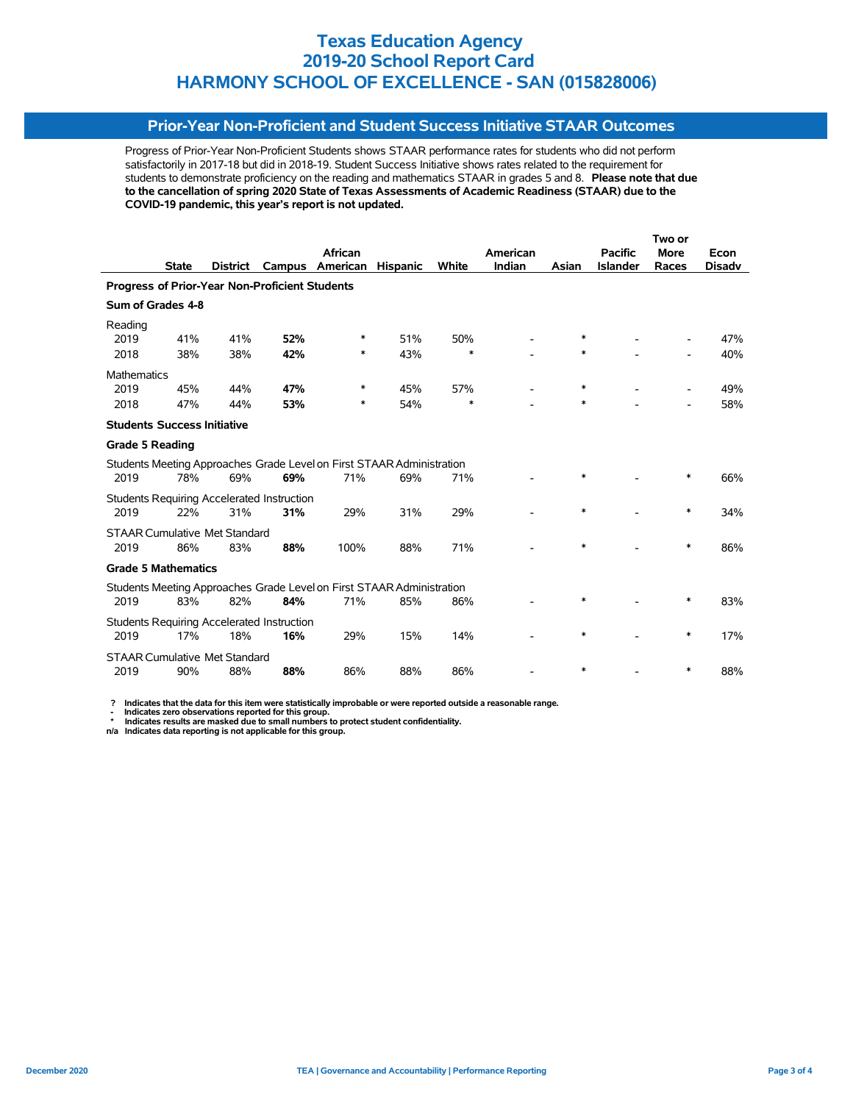### **Prior-Year Non-Proficient and Student Success Initiative STAAR Outcomes**

Progress of Prior-Year Non-Proficient Students shows STAAR performance rates for students who did not perform satisfactorily in 2017-18 but did in 2018-19. Student Success Initiative shows rates related to the requirement for students to demonstrate proficiency on the reading and mathematics STAAR in grades 5 and 8. **Please note that due to the cancellation of spring 2020 State of Texas Assessments of Academic Readiness (STAAR) due to the COVID-19 pandemic, this year's report is not updated.**

|                                                |              |                                      |                                                   | Two or                                                                |                 |        |          |        |                 |             |               |
|------------------------------------------------|--------------|--------------------------------------|---------------------------------------------------|-----------------------------------------------------------------------|-----------------|--------|----------|--------|-----------------|-------------|---------------|
|                                                |              |                                      |                                                   | African                                                               |                 |        | American |        | <b>Pacific</b>  | <b>More</b> | Econ          |
|                                                | <b>State</b> | <b>District</b>                      | Campus                                            | American                                                              | <b>Hispanic</b> | White  | Indian   | Asian  | <b>Islander</b> | Races       | <b>Disadv</b> |
| Progress of Prior-Year Non-Proficient Students |              |                                      |                                                   |                                                                       |                 |        |          |        |                 |             |               |
| Sum of Grades 4-8                              |              |                                      |                                                   |                                                                       |                 |        |          |        |                 |             |               |
| Reading                                        |              |                                      |                                                   |                                                                       |                 |        |          |        |                 |             |               |
| 2019                                           | 41%          | 41%                                  | 52%                                               | *                                                                     | 51%             | 50%    |          | ∗      |                 |             | 47%           |
| 2018                                           | 38%          | 38%                                  | 42%                                               | *                                                                     | 43%             | $\ast$ |          | *      |                 |             | 40%           |
| <b>Mathematics</b>                             |              |                                      |                                                   |                                                                       |                 |        |          |        |                 |             |               |
| 2019                                           | 45%          | 44%                                  | 47%                                               | *                                                                     | 45%             | 57%    |          | $\ast$ |                 |             | 49%           |
| 2018                                           | 47%          | 44%                                  | 53%                                               | *                                                                     | 54%             | $\ast$ |          | $\ast$ |                 |             | 58%           |
| <b>Students Success Initiative</b>             |              |                                      |                                                   |                                                                       |                 |        |          |        |                 |             |               |
| <b>Grade 5 Reading</b>                         |              |                                      |                                                   |                                                                       |                 |        |          |        |                 |             |               |
|                                                |              |                                      |                                                   | Students Meeting Approaches Grade Level on First STAAR Administration |                 |        |          |        |                 |             |               |
| 2019                                           | 78%          | 69%                                  | 69%                                               | 71%                                                                   | 69%             | 71%    |          | $\ast$ |                 | $\ast$      | 66%           |
|                                                |              |                                      | <b>Students Requiring Accelerated Instruction</b> |                                                                       |                 |        |          |        |                 |             |               |
| 2019                                           | 22%          | 31%                                  | 31%                                               | 29%                                                                   | 31%             | 29%    |          | $\ast$ |                 | $\ast$      | 34%           |
|                                                |              | <b>STAAR Cumulative Met Standard</b> |                                                   |                                                                       |                 |        |          |        |                 |             |               |
| 2019                                           | 86%          | 83%                                  | 88%                                               | 100%                                                                  | 88%             | 71%    |          | *      |                 | *           | 86%           |
| <b>Grade 5 Mathematics</b>                     |              |                                      |                                                   |                                                                       |                 |        |          |        |                 |             |               |
|                                                |              |                                      |                                                   | Students Meeting Approaches Grade Level on First STAAR Administration |                 |        |          |        |                 |             |               |
| 2019                                           | 83%          | 82%                                  | 84%                                               | 71%                                                                   | 85%             | 86%    |          | $\ast$ |                 | $\ast$      | 83%           |
|                                                |              |                                      | <b>Students Requiring Accelerated Instruction</b> |                                                                       |                 |        |          |        |                 |             |               |
| 2019                                           | 17%          | 18%                                  | 16%                                               | 29%                                                                   | 15%             | 14%    |          | $\ast$ |                 | $\ast$      | 17%           |
|                                                |              | <b>STAAR Cumulative Met Standard</b> |                                                   |                                                                       |                 |        |          |        |                 |             |               |
| 2019                                           | 90%          | 88%                                  | 88%                                               | 86%                                                                   | 88%             | 86%    |          | *      |                 | *           | 88%           |

 **? Indicates that the data for this item were statistically improbable or were reported outside a reasonable range.**

 **- Indicates zero observations reported for this group. \* Indicates results are masked due to small numbers to protect student confidentiality.**

**n/a Indicates data reporting is not applicable for this group.**